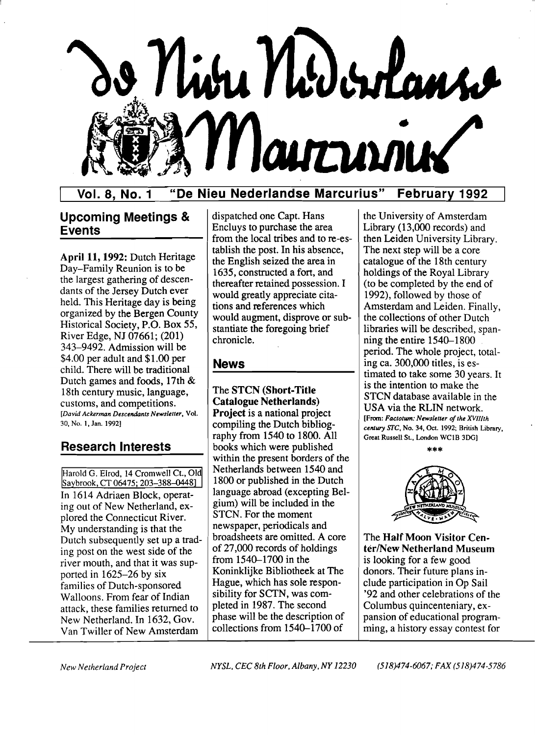

## Vol. 8, No.1 "De Nieu Nederlandse Marcurius" February 1992

### Upcoming Meetings & Events

April 11, 1992: Dutch Heritage Day-Family Reunion is to be the largest gathering of descendants of the Jersey Dutch ever held. This Heritage day is being organized by the Bergen County Historical Society, P.O. Box 55, River Edge, NJ 07661; (201) 343-9492. Admission will be \$4.00 per adult and \$1.00 per child. There will be traditional Dutch games and foods, 17th & 18th century music, language, customs, and competitions. *[David Ackerman Descendants Newsletter.* Vol. 30. No.1. Jan. 1992]

### Research Interests

Harold G. Elrod, 14 Cromwell Ct., Old Saybrook, CT 06475; 203-388-0448] In 1614 Adriaen Block, operating out of New Netherland, explored the Connecticut River. My understanding is that the Dutch subsequently set up a trading post on the west side of the river mouth, and that it was supported in 1625-26 by six families of Dutch-sponsored Walloons. From fear of Indian attack, these families returned to New Netherland. In 1632, Gov. Van Twiller of New Amsterdam

dispatched one Capt. Hans Encluys to purchase the area from the local tribes and to re-establish the post. In his absence, the English seized the area in 1635, constructed a fort, and thereafter retained possession. I would greatly appreciate citations and references which would augment, disprove or substantiate the foregoing brief chronicle.

### News

The STCN (Short-Title Catalogue Netherlands) Project is a national project compiling the Dutch bibliography from 1540 to 1800. All books which were published within the present borders of the Netherlands between 1540 and 1800 or published in the Dutch language abroad (excepting Belgium) will be included in the STCN. For the moment newspaper, periodicals and broadsheets are omitted. A core of 27,000 records of holdings from 1540-1700 in the Koninklijke Bibliotheek at The Hague, which has sole responsibility for SCTN, was completed in 1987. The second phase will be the description of collections from 1540-1700 of

the University of Amsterdam Library (13,000 records) and then Leiden University Library. The next step will be a core catalogue of the 18th century holdings of the Royal Library (to be completed by the end of 1992), followed by those of Amsterdam and Leiden. Finally, the collections of other Dutch libraries will be described, spanning the entire 1540-1800 period. The whole project, totaling ca. 300,000 titles, is estimated to take some 30 years. It is the intention to make the STCN database available in the USA via the RLIN network. [From: Factotum: Newsletter of the XVIIIth *century STC.* No. 34. Oct. 1992; British Library, Great Russell St., London WC1B 3DG]

\*\*\*



The Half Moon Visitor Center/New Netherland Museum is looking for a few good donors. Their future plans include participation in Op Sail '92 and other celebrations of the Columbus quincenteniary, expansion of educational programming, a history essay contest for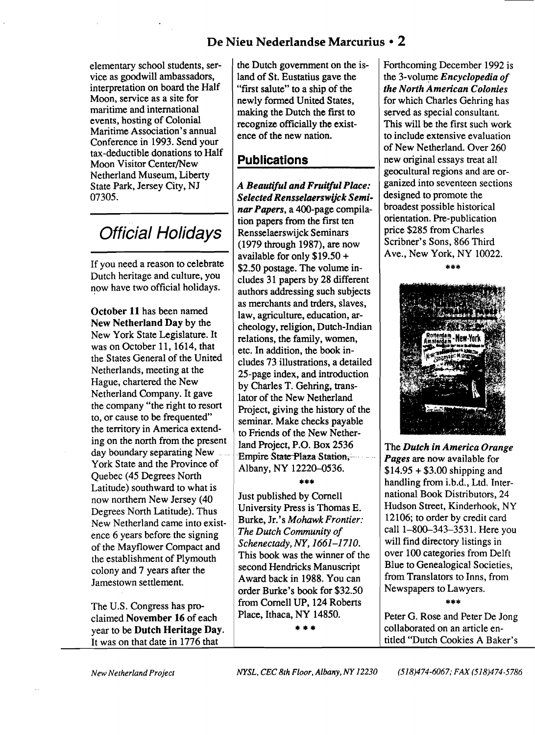vice as goodwill ambassadors,<br>interpretation on board the Half elementary school students, serinterpretation on board the Half "first salute" to a ship of the *Moon*, service as a site for **the** *newly* formed United States. Moon, service as a site for<br>metal newly formed United States, for which Charles Gehring has<br>making the Dutch the first to served as special consultant. maritime and international making the Dutch the first to events, hosting of Colonial recognize officially the exist-Maritime Association's annual Ence of the new nation.<br>
tax-deductible donations to Half<br>
Moon Visitor Center/New **Publications** to the new original essays treat all Moon Visitor Center/New **Publications** new original essays treat all vectors network of the Netherland Museum, Liberty geocalitural regions and are or Netherland State Park, Jersey City, NJ **A Beautiful and Fruitful Place:**  $\begin{array}{c} \boxed{\text{ganized into seventeen sections} \\ \boxed{07305.} \end{array}$ 

If you need a reason to celebrate \$2.50 postage. The volume in-<br>Dutch heritage and culture, you cludes 31 papers by 28 different<br>now have two official holidays.

New York State Legislature. It was on October 11, 1614, that was on October 11, 1614, that etc. In addition, the book in-<br>the States General of the United aludes 73 illustrations a date the States General of the United cludes 73 illustrations, a detailed<br>Netherlands, meeting at the  $\begin{array}{c|c} \hline \end{array}$  25 nogo index, and introduction Netherlands, meeting at the  $25$ -page index, and introduction<br>Hague, chartered the New  $\mu$  by Charles T. Gebring, trans Hague, chartered the New by Charles T. Gehring, trans-<br>Netherland Company. It gave Netherland Company. It gave<br>the company "the right to resort percent origina the history of the company "the right to resort<br>to, or cause to be frequented" Project, giving the history of the<br>seminar. Make checks payable the territory in America extend-<br>to Friends of the New Nether-<br>long project BO Box 2526 ing on the north from the present<br>day boundary separating New -- Empire State Plaza Station,<br>York State and the Province of Albany, NY 12220-0536.<br>Latitude) southward to what is<br>Latitude) southward to what is Latitude) southward to what is<br>
now northern New Jersey (40<br>
University Press is Thomas E. Hudson Street, Kinderhook, NY<br>
University Press is Thomas E. Hudson Street, Kinderhook, NY Degrees North Latitude). Thus University Press is Thomas E. [Hudson Street, Kinderhook, N<br>Rurke Ir 's Mohawk Frontier. [12106; to order by credit card Burke, Jr.'s *Mohawk Frontier:* 12106; to order by credit card<br>
ance 6 years before the signing<br>
The Dutch Community of call 1-800-343-3531. Here you ence 6 years before the signing *The Dutch Community of* call 1-800-343-3331. Here you of the Mayflower Compact and *Schenectady, NY, 1661-1710*. Will find directory listings in the establishment of Plymouth This book was This book was the winner of the the establishment of Plymouth colony and 7 years after the second Hendricks Manuscript Blue to Genealogical Societies, and 1988. You can colony and 7 years after the the second Hendricks Man

year to be Dutch Heritage Day. claimed November 16 of each It was on that date in 1776 that

recognize officially the exist-<br>ence of the new nation.<br>to include extensive evaluation

Selected Rensselaerswijck Semi- designed to promote the<br>*nar Paners, a 400-page compila-* broadest possible historical *nar Papers,* a 400-page compila- broadest possible historical<br>tion papers from the first ten crientation. Pre-publication tion papers from the first ten<br>Rensselaerswijck Seminars Price \$285 from Charles  $\int \text{C}$  Holidays Rensselaerswijck Seminars Price \$285 from Charles Seminars Seminars Seminars Seminars Seminars Seminars Seminars Seminars Seminars Seminars Seminars Seminary Seminary Seminary Seminary Seminary Seminary (1979 through 1987), are now  $\begin{array}{c} \text{Scribner's Sons, 866 Third} \\ \text{available for only $1950 +} \end{array}$  Ave., New York, NY 10022. available for only \$19.50 +  $\begin{matrix} \text{Ave., New York,} \\ \text{A.} \\ \text{A.} \end{matrix}$ authors addressing such subjects October 11 has been named<br>
New Netherland Day by the law, agriculture, education, ar-<br>
law, agriculture, education, ar-<br>
labellow, religion, Dutch India cheology, religion, Dutch-Indian<br>relations, the family, women,

Just published by Cornell Award back in 1988. You can from Translators to Inns, order Burke's book for \$32.50 Newspapers to Lawyers. order Burke's book for \$32.50 Newspapers to Lay<br>from Cornell UP 124 Roberts. The U.S. Congress has pro-<br>
claimed November 16 of each Place, Ithaca, NY 14850.

the Dutch government on the is-<br>  $\begin{array}{|l|l|} \hline \text{Forthcoming December 1992 is} \end{array}$ <br>  $\begin{array}{|l|l|} \hline \text{the 3-volume *Encyclopedia of*} \end{array}$ land 3-volume *Encyclopedia of*<br> *Encyclopedia of* 



Peter G. Rose and Peter De Jong \*\*\* collaborated on an article en-<br>titled "Dutch Cookies A Baker's

*NewNetherlandProject NYSL. CEC8th Floor.Albany.NY 12230* (518)474-6067; FAX (518)474-5786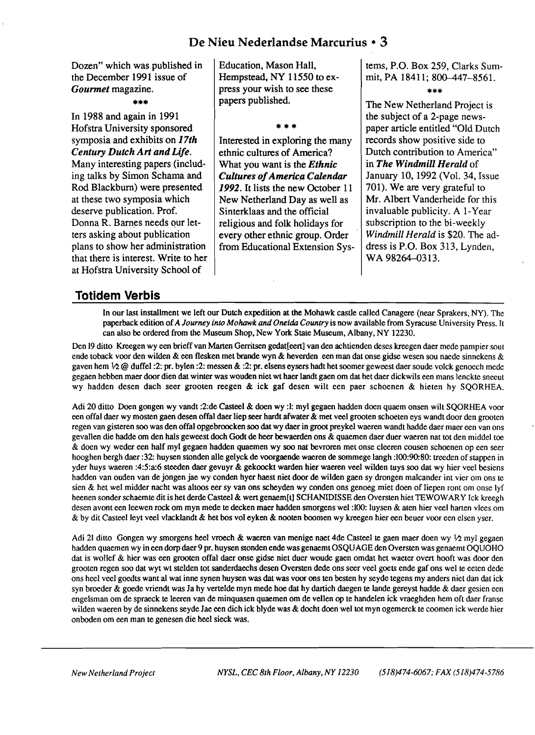Dozen" which was published in the December 1991 issue of *Gourmet* magazine.

### •••

In 1988 and again in 1991 Hofstra University sponsored symposia and exhibits on *17th Century Dutch Art and Life.*  Many interesting papers (including talks by Simon Schama and Rod Blackburn) were presented at these two symposia which deserve publication. Prof. Donna R. Barnes needs our letters asking about publication plans to show her administration that there is interest. Write to her at Hofstra University School of

Education, Mason Hall, Hempstead, NY 11550 to express your wish to see these papers published.

•••

Interested in exploring the many ethnic cultures of America? What you want is the *Ethnic Cultures ofAmerica Calendar*  1992. It lists the new October 11 New Netherland Day as well as Sinterklaas and the official religious and folk holidays for every other ethnic group. Order from Educational Extension Systems, P.O. Box 259, Clarks Summit, PA 18411; 800-447-8561. \*\*\*

The New Netherland Project is the subject of a 2-page newspaper article entitled "Old Dutch records show positive side to Dutch contribution to America" in *The Windmill Herald* of January 10, 1992 (Vol. 34, Issue 701). We are very grateful to Mr. Albert Vanderheide for this invaluable publicity. A l-Year subscription to the bi-weekly *Windmill Herald* is \$20. The address is P.O. Box 313, Lynden, WA 98264-0313.

### **Totidem Verbis**

In our last installment we left our Dutch expedition at the Mohawk castle called Canagere (near Sprakers, NY). The paperback edition of A Journey into Mohawk and Oneida Country is now available from Syracuse University Press. It can also be ordered from the Museum Shop, New York State Museum, Albany, NY 12230.

Den 19 ditto Kreegen wy een brieff van Marten Gerritsen gedat[eert] van den achtienden deses kreegen daer mede pampier sout ende toback voor den wilden & een flesken met brande wyn & heverden een man dat onse gidse wesen sou naede sinnekens & gaven hem  $\frac{1}{2}$  @ duffel :2: pr. bylen :2: messen & :2: pr. elsens eysers hadt het soomer geweest daer soude volck genoech mede gegaen hebben maer door dien dat winter was wouden niet wt haer landt gaen om dat het daer dickwils een mans lenckte sneeut wy hadden desen dach seer grooten reegen & ick gaf desen wilt een paer schoenen & hieten hy SQORHEA.

Adi 20 ditto Doen gongen wy vandt :2:de Casteel & doen wy :1: my1gegaen hadden doen quaem onsen wilt SQORHEA voor een offal daer wy mosten gaen desen offal daer liep seer hardt afwater & met veel grooten schoeten eys wandt door den grooten regen van gisteren soo was den offal opgebroocken sao dat wy daer in groot preykel waeren wandt hadde daer maer een van ons gevallen die hadde om den hals geweest doch Godt de heer bewaerden ons & quaemen daer duer waeren nat tot den middel toe & doen wy weder een half my1gegaen hadden quaemen wy sao nat bevroren met onse cleeren cousen schoenen op een seer hooghen bergh daer :32: huysen stonden alle gelyck de voorgaende waeren de sommege langh :100:90:80: treeden of stappen in yder huys waeren :4:5:a:6 steeden daer gevuyr & gekoockt warden hier waeren veel wilden tuys soo dat wy hier veel besiens hadden van ouden van de jongen jae wy conden hyer haest niet door de wilden gaen sy drongen maleander int vier om ons te sien & het wel midder nacht was altoos eer sy van ons scheyden wy conden ons genoeg miet doen of liepen ront om onse Iyf heenen sonder schaemte dit is het derde Casteel & wert genaem[t] SCHANIDISSE den Oversten hiet TEWOWARY Ick kreegh desen avont een leewen rock om myn mede te decken maer hadden smorgens wel :100: luysen & aten hier veel harten vlees om & by dit Casteelleyt veel vlacklandt & het bas vol eyken & nooten boomen wy kreegen hier een beuer voor een elsen yser.

Adi 21 ditto Gongen wy smorgens heel vroech & waeren van menige naet 4de Casteel te gaen maer doen wy  $\frac{1}{2}$  myl gegaen hadden quaemen wy in een dorp daer 9 pr. huysen stonden ende was genaemt OSQUAGE den Oversten was genaemt OQUOHO dat is wollef & hier was een grooten offal daer onse gidse niet duer woude gaen omdat het waeter overt hooft was door den grooten regen soo dat wyt wt stelden tot sanderdaechs desen Oversten dede ons seer veel goets ende gaf ons wei te eeten dede ons heel veel goedts want atwat inne synen huysen was dat was voor ons ten besten hy seyde tegens my anders niet dan dat ick syn broeder & goede vriendt was Ja hy vertelde myn mede hoe dat hy dartich daegen te lande gereyst hadde & daer gesien een engelsman om de spraeck te leeren van de minquasen quaemen om de vellen op le handelen ick vraeghden hem oft daer franse wilden waeren by de sinnekens seyde Jae een dich ick blyde was & docht doen wel tot myn ogemerck te coomen ick werde hier onboden om een man te genesen die heel sieck was.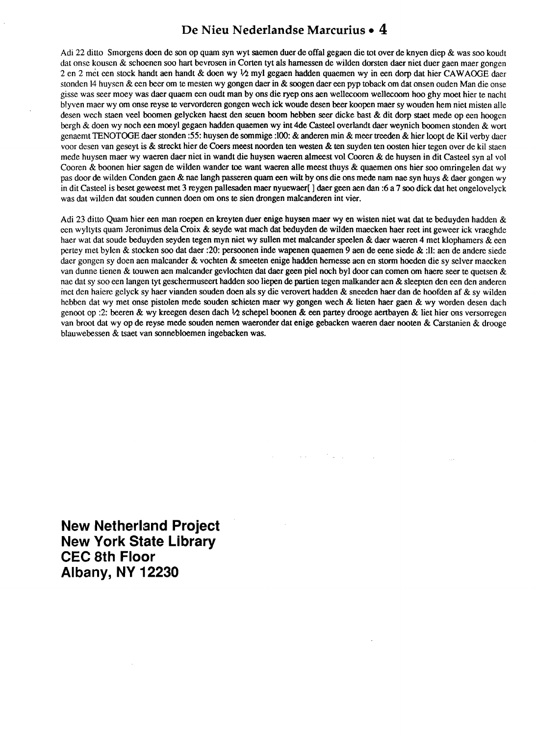Adi 22 ditto Smorgens doen de son op quam syn wyt saemen duer de offal gegaen die tot over de knyen diep & was soo koudt dat onse kousen & schoenen soo hart bevrosen in Corten tyt als harnessen de wilden dorsten daer niet duer gaen maer gongen 2 en 2 met een stock handt aen handt & doen wy 1/2 myl gegaen hadden quaemen wy in een dorp dat hier CAWAOGE daer stonden 14 huysen & een beer om te mesten wy gongen daer in & soogen daer een pyp toback om dat onsen ouden Man die onse gisse was seer moey was daer quaem een oudt man by ons die ryep ons aen wellecoom wellecoom hoo ghy moet hier te nacht blyven maer wy om onse reyse te vervorderen gongen wech ick woude desen beer koopen maer sy wouden hem niet misten alle desen wech staen veel boomen gelycken haest den seuen boom hebben seer dicke bast & dit dorp staet mede op een hoogen bergh & doen wy noch een moeyl gegaen hadden quaemen wy int 4de Casteel overlandt daer weynich boomen stonden & wort genaemtTENOTOGE daer stonden :55: huysen de sommige :100: & anderen min & meer treeden & hier loopt de Kil verby daer voor desen van geseyt is & streckt hier de Coers meest noorden ten westen & ten suyden ten oosten hier tegen over de kil staen mede huysen maer wy waeren daer niet in wandt die huysen waeren almeest vol Cooren & de huysen in dit Casteel syn al vol Cooren & boonen hier sagen de wilden wander toe want waeren alle meest thuys & quaemen ons hier soo omringelen dat wy pas door de wilden Conden gaen & nae langh passeren quam een wilt by ons die ons mede nam nae syn huys & daer gongen wy in dit Casteel is beset geweest met 3 reygen pallesaden maer nyuewaer[] daer geen aen dan :6 a 7 soo dick dat het ongelovelyck was dat wilden dat souden cunnen doen om ons te sien drongen malcanderen int vier.

Adi 23 ditto Quam hier een man roepen en kreyten duer enige huysen maer wy en wisten niet wat dat te beduyden hadden & een wyltyts quam Jeronimus dela Croix & seyde wat mach dat beduyden de wilden maecken haer reet int geweer ick vraeghde haer wat dat soude beduyden seyden tegen myn niet wy sullen met malcander speelen & daer waeren 4 met klophamers & een pertey met byten & stocken soo dat daer :20: persoonen inde wapenen quaemen 9 aen de eene siede & :11: aen de andere siede daer gongen sy doen aen malcander & vochten & smeeten enige hadden hemesse aen en storm hoeden die sy selver maecken van dunne tienen & touwen aen malcander gevlochten dat daer geen piel noch byl door can comen om haere seer te quetsen  $\&$ nae dat sy soo een langen tyt geschermuseert hadden soo liepen de partien tegen malkander aen & sleepten den een den anderen met den haiere gelyck sy haer vianden souden doen als sy die verovert hadden & sneeden haer dan de hoofden af & sy wilden hebben dat wy met onse pistolen mede souden schieten maer wy gongen wech & lieten haer gaen & wy worden desen dach genoot op :2: beeren & wy kreegen desen dach  $\frac{1}{2}$  schepel boonen & een partey drooge aertbayen & liet hier ons versorregen van broot dat wy op de reyse mede souden nemen waeronder dat enige gebacken waeren daer nooten & Carstanien & drooge blauwebessen & tsaet van sonnebloemen ingebacken was.

**New Netherland Project New York State Library CEC 8th Floor Albany, NY 12230**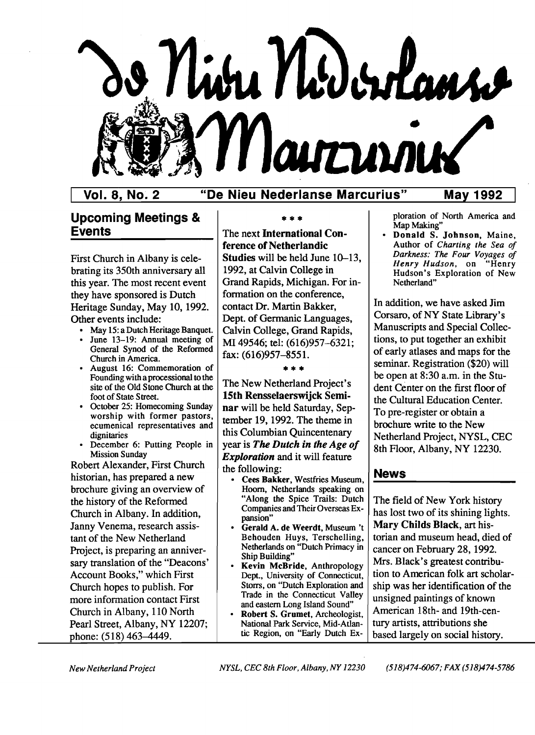

### Vol. 8, No.2 "De Nieu Nederlanse Marcurius" May 1992

# Upcoming Meetings & ploration of North America and Map Making" The next International Con-<br>
Free of Netherlandic Ploration of Charting the Sea of

*Parkness: The Four Voyages of Darkness: The Four Voyages of*<br>
brating its 350th anniversary all 1992, at Calvin College in *Henry Hudson*, on "Henry<br> *Hudson's Exploration of New*<br> *Hudson's Exploration of New*<br> *Hudson* this year. The most recent event  $\begin{array}{|l|} \hline \text{Grand Rapids, Michigan. For} \\ \text{few have sonsored is Dutch} \hline \end{array}$ they have sponsored is Dutch Heritage Sunday, May 10, 1992. | contact Dr. Martin Bakker, Indication, we have asked Jim<br>Other events include: | Dept. of Germanic Languages, | Corsaro, of NY State Library's Other events include:<br>• May 15: a Dutch Heritage Banquet.

- 
- 
- 
- 
- 

Robert Alexander, First Church the following:<br>historian, has prepared a new  $\left\{\n\begin{array}{c}\n\text{the following:}\n\text{S} \\
\text{S} \\
\text{S} \\
\text{D} \\
\text{D} \\
\text{D} \\
\text{D} \\
\text{D} \\
\text{E} \\
\text{D} \\
\text{D} \\
\text{D} \\
\text{D} \\
\text{E} \\
\text{D} \\
\text{D} \\
\text{E} \\
\text{D} \\
\text{D} \\
\text{E} \\
\text{$ brochure giving an overview of Hoorn, Netherlands speaking on<br>the history of the Reformed "Along the Spice Trails: Dutch" Project, is preparing an anniver-<br>
Ship Building" Mrs. Black's greatest contribu-<br>
Notation of the "Deacons" stratest" Mrs. Black's greatest contribu-Account Books," which First Church hopes to publish. For more information contact First under in the Connecticut Valley unsigned paintings of known<br>
Church in Albany, 110 North **Robert S. Grumet**, Archeologist, American 18th- and 19th-cen-<br>
Pearl Street, Albany, NY 12207; Nation Pearl Street, Albany, NY 12207; phone:  $(518)$  463-4449. ic Region, on "Early Dutch Ex- based largely on social history.

In addition, we have asked Jim contact Dr. Martin Bakker, May 15: a Dutch Heritage Banquet. Calvin College, Grand Rapids, June 13-19: Annual meeting of  $M149546$ :  $\frac{1616}{957-6321}$ .

site of the Old Stone Church at the  $\begin{array}{c|c} 1 \text{ ne } \text{ New NetInerland Project's} \\ \text{foot of State Street.} \end{array}$  dent Center on the first floor of foot of State Street.<br>October 25: Homecoming Sunday nar will be held Saturday. Sen-October 25: Homecoming Sunday nar will be held Saturday, Sepworship with former pastors, tember 19, 1992. The theme in ecumenical representatives and this Columbian Quincentenary Netherland Project. NYSI Pecember 6: Putting People in year is **The Dutch in the Age of** 8th Floor, Albany, NY 12230. Mission Sunday **Exploration** and it will feature

- Cees Bakker, Westfries Museum,<br>Hoorn, Netherlands speaking on
- 
- Storrs, on "Dutch Exploration and Dept., University of Connecticut, Trade in the Connecticut Valley<br>and eastern Long Island Sound"
- tic Region, on "Early Dutch Ex-National Park Service, Mid-Atlan-

Author of *Charting the Sea of*<br>*Darkness: The Four Voyages of* 

Manuscripts and Special Collec-• June 13-19: Annual meeting of MI 49546; tel:  $(616)957-\overline{6321}$ ;  $\begin{array}{|l|l|l|}\n\hline\n\text{General Synod of the Reformed} & \text{Mat: } (616)957-\overline{6321} \\
\text{Church in America.} & \text{Symod of the Reformed} & \text{fast: } (616)957-8551.\n\hline\n\end{array}$  and  $\begin{array}{|l|l|l|}\n\hline\n\text{Hilons, to put together an exhibit} & \text{tions, to$ Founding with a processional to the the New Netherland Project's state of the Old Stone Church at the The New Netherland Project's state of the Old Stone Church at the The New Netherland Project's dignitaries<br>December 6: Putting People in year is **The Dutch in the Age of** eth Floor Albany NY 12230

the history of the Reformed<br>
Church in Albany. In addition,<br>
Janny Venema, research assis-<br>  $\begin{array}{c|c|c|c|c} \end{array}$  Along the Spice Trails: Dutch<br>
Companies and Their Overseas Ex-<br>  $\begin{array}{c|c|c|c} \end{array}$  The field of New Yor tant of the New Netherland Behouden Huys, Terschelling, torian and museum head, died of<br>Project, is preparing an anniver-<br>Retherlands on "Dutch Primacy in cancer on February 28, 1992. sary translation ofthe "Deacons' Mrs. Black's greatest contribu • Kevin McBride, Anthropology ship was her identiftcation of the

*New Netherland Project NYSL. CEC 8th Floor. Albany. NY 12230* (518)474-6067; FAX (518)474-5786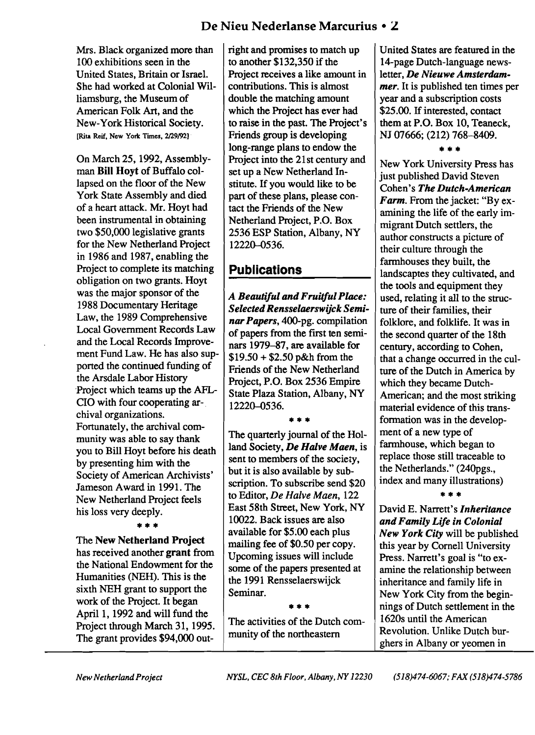Mrs. Black organized more than  $\vert$  right and promises to match up  $\vert$  United States are featured in the 100 exhibitions seen in the to another \$132,350 if the 14-page Dutch-language news-United States, Britain or Israel. | Project receives a like amount in | letter, *De Nieuwe Amsterdam-*She had worked at Colonial Wil- contributions. This is almost *mer*. It is published ten times per liamsburg, the Museum of double the matching amount year and a subscription costs<br>American Folk Art, and the which the Project has ever had \$25.00. If interested, contact American Folk Art, and the which the Project has ever had \$25.00. If interested, contact<br>New-York Historical Society. to raise in the past. The Project's them at P.O. Box 10, Teaneck, New-York Historical Society.  $\vert$  to raise in the past. The Project's [Rita Reif, New York Times, 2/29/92]  $\vert$  Friends group is developing  $\vert$  NJ 07666; (212) 768-8409.

On March 25, 1992, Assembly-<br>
man Bill Hoyt of Buffalo col-<br>
lapsed on the floor of the New Set up a New Netherland In-<br>
striute. If you would like to be<br>
cohen's The Dutch A merican lapsed on the floor of the New<br>
York State Assembly and died<br>
of a heart attack. Mr. Hoyt had<br>
lact the Friends of the New<br>
lact the Friends of the New<br>
lact the Friends of the New<br>
lamining the life of the early imbeen instrumental in obtaining<br>two \$50,000 legislative grants 2536 ESP Station, Albany, NY<br> $\frac{1}{2536}$  ESP Station, Albany, NY two \$50,000 legislative grants 2536 ESP Station, Albany, NY author constructs a picture of for the New Netherland Project  $\begin{array}{|l|l|}\n 12220-0536.\n \end{array}$  author constructs a picture of their culture through the form boun In 1980 and 1987, enabling the **Publications landscaptes they built**, the obligation on two grants. Hoyt **Publications landscaptes they cultivated**, and the tools and conjunct they obligation on two grants. Hoyt<br>was the major sponsor of the *A Beautiful and Fruitful Place:* the tools and equipment they<br>1988 Documentary Heritage *Selected Pensseleerswijck Semi*ng function families, their 1988 Documentary Heritage *Selected Rensselaerswijck Semi* ture of their families, their<br>Law, the 1989 Comprehensive *ngr Papers 400-pg compilation* follows and fall-life. It was Law, the 1989 Comprehensive *nar Papers*, 400-pg. compilation folklore, and folklife. It was in Local Government Records Law of papers from the first ten semi-<br>Local Government Records Law of papers from the first ten semi Local Government Records Law<br>and the Local Records Improve-<br>ment Fund Law. He has also sup-<br> $\left\{\n\begin{array}{c}\n\text{of papers from the first ten semi-} \text{the second quarter of the 18th}\n\end{array}\n\right.\n\right\}$ ported the continued funding of<br>the Arsdale Labor History<br>Project which teams up the AFL-<br>CIO with four cooperating ar-<br>chival organizations.<br>Fortunately, the archival com-<br>Fortunately, the archival community was able to say thank<br>you to Bill Hoyt before his death<br>by presenting him with the<br>Society of American Archivists' strategy and Society, the Holl-<br>Jameson Award in 1991. The<br>Jameson Award in 1991. The Jameson Award in 1991. The<br>New Netherland Project feels<br>his loss very deeply.<br> $\begin{bmatrix}\n\text{122} \\
\text{133} \\
\text{144}\n\end{bmatrix}\n\begin{bmatrix}\n\text{135} \\
\text{156}\n\end{bmatrix}\n\begin{bmatrix}\n\text{146} \\
\text{156}\n\end{bmatrix}\n\begin{bmatrix}\n\text{146} \\
\text{156}\n\end{bmatrix}\n\begin{bmatrix}\n\text{146} \\$ 

April I, 1992 and will fund the

long-range plans to endow the  $*$ \*\*\*<br>Project into the 21st century and New York Universe

East 58th Street, New York, NY **David E. Narrett's** *Inheritance* 10022. Back issues are also and Family Life in Colonial

The New Netherland Project<br>
The New Netherland Project<br>
has received another grant from<br>
the National Endowment for the<br>
Humanities (NEH). This is the<br>
sixth NEH grant to support the<br>
work of the Project. It began<br>
Anril 1 Project through March 31, 1995. The activities of the Dutch com-<br>The grant provides \$94,000 out-<br>The grant provides \$94,000 out-<br> $\begin{array}{c|c}\n\text{The activities of the Dutch com-}\n\end{array}\n\begin{array}{c|c}\n\text{Re} & \text{1620s until the American}\n\end{array}\n\end{array}$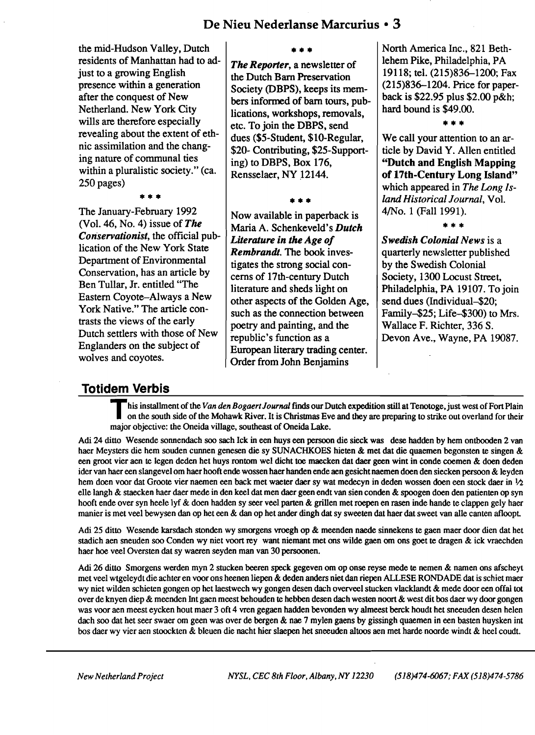the mid-Hudson Valley, Dutch residents of Manhattan had to adjust to a growing English presence within a generation after the conquest of New Netherland. New York City wills are therefore especially revealing about the extent of ethnic assimilation and the changing nature of communal ties within a pluralistic society." (ca. 250 pages)

\*\*\*<br>. .

The January-February 1992 (Vol. 46, No.4) issue of *The Conservationist,* the official publication of the New York State Department of Environmental Conservation, has an article by Ben Tullar, Jr. entitled "The Eastern Coyote-Always a New York Native." The article contrasts the views of the early Dutch settlers with those of New Englanders on the subject of wolves and coyotes.

"' .. *The Reporter,* a newsletter of the Dutch Barn Preservation Society (DBPS), keeps its members informed of barn tours, publications, workshops, removals, etc. To join the DBPS, send dues (\$5-Student, \$10-Regular, \$20- Contributing, \$25-Supporting) to DBPS, Box 176, Rensselaer, NY 12144.

•••

Now available in paperback is Maria A. Schenkeveld's *Dutch Literature in the Age of Rembrandt.* The book investigates the strong social concerns of 17th-century Dutch literature and sheds light on other aspects of the Golden Age, such as the connection between poetry and painting, and the republic's function as a European literary trading center. Order from John Benjamins

North America Inc., 821 Bethlehem Pike, Philadelphia, PA 19118; tel. (215)836-1200; Fax (215)836-1204. Price for paperback is \$22.95 plus \$2.00 p&h; hard bound is \$49.00.<br> $***$ 

\* \* \*

We call your attention to an article by David Y. Allen entitled "Dutch and English Mapping of 17th-Century Long Island" which appeared in *The Long Island Historical Journal,* Vol. 4/No. 1 (Fall 1991).

•••

*Swedish Colonial News* is a quarterly newsletter published by the Swedish Colonial Society, 1300 Locust Street, Philadelphia, PA 19107. To join send dues (Individual-\$20; Family-\$25; Life-\$300) to Mrs. Wallace F. Richter, 336 S. Devon Ave., Wayne, PA 19087.

### Totidem Verbis

This installment of the *VandenBogaertJournal*findsour Dutchexpedition stillat Tenotoge, just westof FortPlain on the south side of the Mohawk River. It is Christmas Eve and they are preparing to strike out overland for their major objective: the Oneida village, southeast of Oneida Lake.

Adi 24 ditto Wesende sonnendach soo sach Ick in een huys een persoon die sieck was dese hadden by hem ontbooden 2 van haer Meysters die hem souden cunnen genesen die sy SUNACHKOES hieten & met dat die quaemen begonsten te singen & een groot vier aen te legen deden het huysrontom wel dicht toe maecken dat daer geen wint in conde coemen & doen deden ider van haer een slangevel om haer hooft ende wossen haer handen ende aen gesicht naemen doen den siecken persoon & leyden hem doen voor dat Groote vier naemen een back met waeter daer sy wat medecyn in deden wossen doen een stock daer in 1/2 elle langh & staecken haer daer mede in den keel dat men daer geen endt van sien conden & spoogen doen den patienten op syn hooft ende over syn heele lyf & doen hadden sy seer veel parten & grillen met roepen en rasen inde hande te clappen gely haer manier is met veel bewysen dan op het een & dan op het ander dingh dat sy sweeten dat haer dat sweet van alle canten afloopt.

Adi 25 ditto Wesende karsdach stonden wy smorgens vroegh op & meenden naede sinnekens te gaen maer door dien dat het stadich aen sneuden soo Conden wy niet voort rey want niemant met ons wilde gaen om ons goet te dragen & ick vraechden haer hoe veel Oversten dat sy waeren seyden man van 30 persoonen.

Adi 26 ditto Smorgens werden myn 2 stucken beeren speck gegeven om op onse reyse mede te nemen & namen ons afscheyt met veel wtgeleydt die achter en voor ons heenen liepen & deden anders niet dan riepen ALLESE RONDADE dat is schiet maer wy niet wilden schieten gongen op het laestwech wy gongen desen dach overveel stucken vlacklandt & mede door een offal tot over de knyen diep & meenden Int gaen meest behouden te hebben desen dach westen noort & west dit bos daer wy door gongen was voor aen meest eycken hout maer 3 oft 4 vren gegaen hadden bevonden wy almeest berck houdt het sneeuden desen helen dach soo dat het seer swaer om geen was over de bergen & nae 7 mylen gaens by gissingh quaemen in een basten huysken int bos daer wy vier aen stoockten & bleuen die nacht hier slaepen het sneeuden altoos aen met harde noorde windt & heel coudt.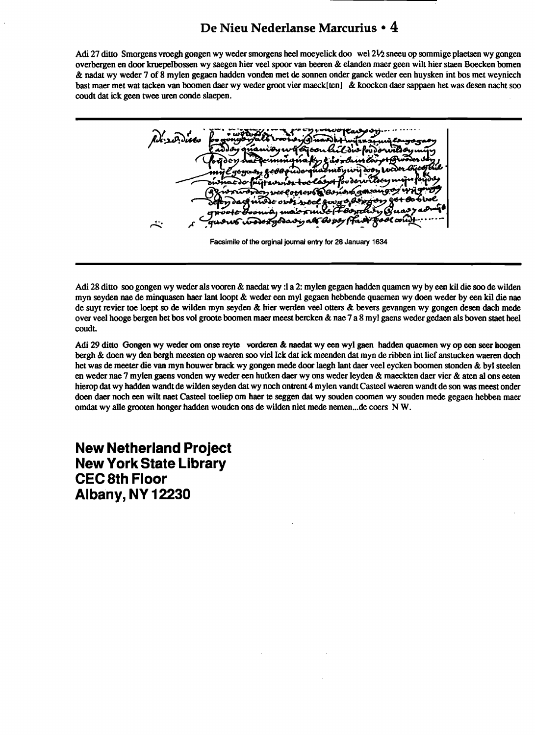Adi 27 ditto Smorgens vroegh gongen wy weder smorgens heel moeyelick doo wel 2½ sneeu op sommige plaetsen wy gongen overbergen en door kruepelbossen wy saegen hier veel spoor van beeren & elanden maer geen wilt hier staen Boecken bomen & nadat wy weder 7 of 8 mylen gegaenhaddenvondenmet de sonnenonder ganck wedereen huysken int bos met weyniech bast maer met wat tacken van boomen daer wy weder groot vier maeck[ten] & koocken daer sappaen het was desen nacht soo coudt dat ick geen twee uren conde slaepen.



Facsimile of the orginal journal entry for 28 January 1634

Adi28ditto soogongenwy wederals vooren& naedatwy :1 a 2: mylengegaenhaddenquamenwyby een kil die soodewilden myn seyden nae de minquasen haer lant loopt & weder een myl gegaen hebbende quaemen wy doen weder by een kil die nae de suyt revier toe loept so de wilden myn seyden & hier werden veel otters & bevers gevangen wy gongendesen dach mede over veel hooge bergen het bos vol groote boomen maer meest bercken & nae 7 a 8 myl gaens weder gedaen als boven staet heel coudt

Adi 29 ditto Gongen wy weder om onse reyte vorderen & naedat wy een wyl gaen hadden quaemen wy op een seer hoogen bergh & doen wy den bergh meesten op waeren soo viel Ick dat ick meenden dat myn de ribben int lief anstucken waeren doch het was de meeter die van myn houwer brack wy gongen mede door laegh lant daer veel eycken boomen stonden & byl steelen en weder nae 7 mylen gaens vonden wy weder een hutken daer wy ons weder leyden & maeckten daer vier & aten al ons eeten hierop dat wy hadden wandt de wilden seyden dat wy noch ontrent 4 mylen vandt Casteel waeren wandt de son was meest onder doen daer noch een wilt naet Casteel toeliep om haer te seggen dat wy souden coomen wy souden mede gegaen hebben maer omdat wy alle grooten honger hadden wouden ons de wilden niet mede nemen...de coers N W.

**NewNetherland Project NewYorkState Library CEC8th Floor Albany, NY 12230**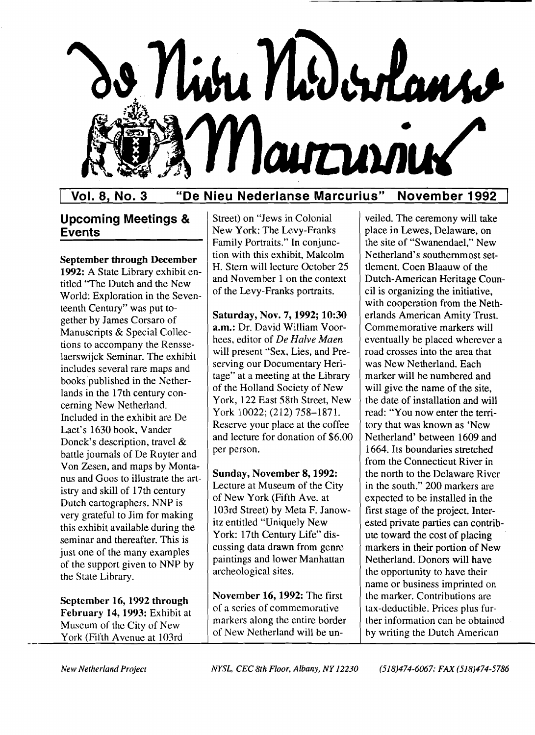# ion Nodonlans ". t Mairrière

# **Vol. 8, No.3 "De Nieu Nederlanse Marcurius" November 1992**

### **Upcoming Meetings & Events**

September through December 1992: A State Library exhibit entitled "The Dutch and the New World: Exploration in the Seventeenth Century" was put together by James Corsaro of Manuscripts & Special Collections to accompany the Rensselaerswijck Seminar. The exhibit includes several rare maps and books published in the Netherlands in the 17th century concerning New Netherland. Included in the exhibit are De Laet's 1630 book, Vander Donck's description, travel & battle journals of De Ruyter and Von Zesen, and maps by Montanus and Goos to illustrate the artistry and skill of 17th century Dutch cartographers. NNP is very grateful to Jim for making this exhibit available during the seminar and thereafter. This is just one of the many examples of the support given to NNP by the State Library.

September 16, 1992 through February 14,1993: Exhibit at Museum of the City of New York (Fifth Avenue at 103rd

Street) on "Jews in Colonial New York: The Levy-Franks Family Portraits." In conjunction with this exhibit, Malcolm H. Stern will lecture October 25 and November 1 on the context of the Levy-Franks portraits.

Saturday, Nov. 7,1992; 10:30 a.m.: Dr. David William Voorhees, editor of *De Halve Maen*  will present "Sex, Lies, and Preserving our Documentary Heritage" at a meeting at the Library of the Holland Society of New York, 122 East 58th Street, New York 10022; (212) 758-1871. Reserve your place at the coffee and lecture for donation of \$6.00 per person.

Sunday, November 8,1992: Lecture at Museum of the City of New York (Fifth Ave. at 103rd Street) by Meta F. Janowitz entitled "Uniquely New York: 17th Century Life" discussing data drawn from genre paintings and lower Manhattan archeological sites.

November 16, 1992: The first of a series of commemorative markers along the entire border of New Netherland will be un-

veiled. The ceremony will take place in Lewes, Delaware, on the site of "Swanendael," New Netherland's southernmost settlement. Coen Blaauw of the Dutch-American Heritage Council is organizing the initiative, with cooperation from the Netherlands American Amity Trust. Commemorative markers will eventually be placed wherever a road crosses into the area that was New Netherland. Each marker will be numbered and will give the name of the site, the date of installation and will read: "You now enter the territory that was known as 'New Netherland' between 1609 and 1664. Its boundaries stretched from the Connecticut River in the north to the Delaware River in the south." 200 markers are expected to be installed in the first stage of the project. Interested private parties can contribute toward the cost of placing markers in their portion of New Netherland. Donors will have the opportunity to have their name or business imprinted on the marker. Contributions are tax-deductible. Prices plus further information can be obtained by writing the Dutch American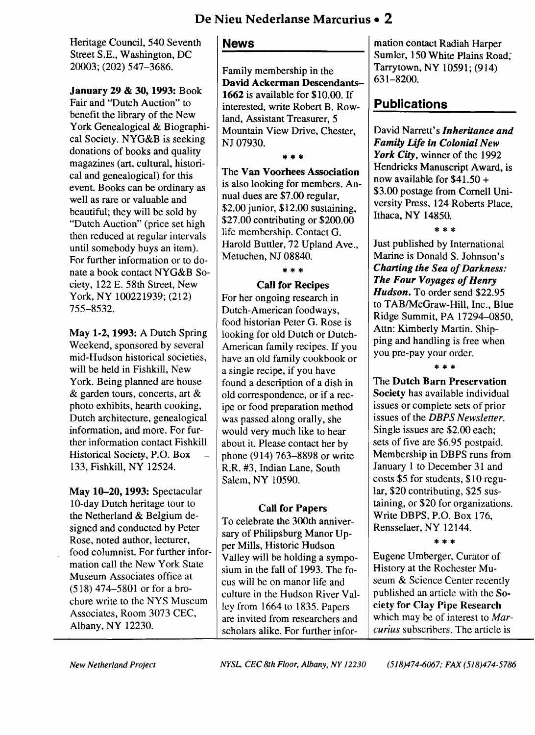Heritage Council, 540 Seventh **News**<br>Street S.E., Washington, DC **News** Summer and Summer, 150 White Plains Road

January 29 & 30,1993: Book 1662 is available for \$10.00. If benefit the library of the New land, Assistant Treasurer, 5<br>York Genealogical & Biographi-<br>Mountain View Drive, Cha cal Society. NYG&B is seeking NJ 07930.<br>donations of books and quality  $\begin{array}{c|c} \hline \text{Family Life in Cobinal New} \\ \hline \end{array}$ donations of books and quality<br>magazines (art, cultural, histori-<br>The Ven Ventere Acception Hendricks Manuscript Award, is magazines (art, cultural, histori-<br>cal and genealogical) for this<br>event. Books can be ordinary as<br> $\begin{array}{|l|l|}\n\hline\n\text{The Van Voorhees Association} & \text{Hendricks Manuscript Award, is} \\
\text{event. Books can be ordinary as} & \begin{array}{|l|l|}\n\hline\n\text{is also looking for members.} & \text{An-} \\
\text{as } 700 \text{ results.} & \text{as } 3.00 \text{ postage from Cornell Uni$ well as rare or valuable and<br>beautiful; they will be sold by<br>"Dutch Auction" (price set high<br> $\begin{bmatrix} 2.00 \text{ junior, $12.00}_{\text{s}} \end{bmatrix}$  and  $\begin{bmatrix} 3.00 \text{ pous} \\ 3.00 \text{ junior, $12.00}_{\text{s}} \end{bmatrix}$  (\$2.00 junior, \$12.00 sustaining,<br> "Dutch Auction" (price set high  $\begin{array}{c|c|c|c|c} \text{``Dutch Auction'' (price set high} & \text{327.00 contributing or $200.00} & & \text{``$*$*$*} \\ \text{then reduced at regular intervals} & \text{life membership. Contact G.} & & \text{Just published by International} \\ \text{until somebody hours an item)} & \text{Hard Butler, 72 Upland Ave.} & \text{Just published by International} \end{array}$ until somebody buys an item).<br>For further information or to do-<br>note a book contact NVG&B So<br> $\star\star\star$ <br> $\star\star$ <br>Reserved by International Metuchen, NJ 08840.<br> $\star\star\star$ <br>Charting the Sea of Darkness: ref rational momentum of the Contract NYG&B Society, 122 E. 58th Street, New<br>
York, NY 100221939; (212) For her ongoing research in The Four Voyages of Henry<br>
York, NY 100221939; (212) For her ongoing research in

May 1-2, 1993: A Dutch Spring  $\begin{array}{|l|l|}\n\hline\n\text{lookup} & \text{looking for old Dutch or Dutch-} \\
\text{Weekend, sponsored by several American family recipes. If you\n\end{array}$   $\begin{array}{|l|}\n\hline\n\text{Number of Mathematical Analysis} & \text{F.} \\
\hline\n\text{P.} & \text{P.} \\
\hline\n\end{array}$ Weekend, sponsored by several American family recipes. If you  $\begin{array}{c|c}\n\text{ping and naturally is need to be a single region,}\n\end{array}$  will be held in Fishkill, New  $\begin{array}{c|c}\n\text{ping and naturally is the same region,}\n\end{array}$ will be held in Fishkill, New a single recipe, if you have  $\begin{array}{c} \begin{array}{c} \star \ast \ast \\ \text{Ork. Being planned are house} \end{array} \end{array}$  a single recipe, if you have  $\begin{array}{c} \star \ast \ast \\ \text{The Dutch Barn Presentation} \end{array}$ York. Being planned are house found a description of a dish in The Dutch Barn Preservation & garden tours, concerts, art & old correspondence, or if a rec-<br>Society has available individual & garden tours, concerts, art &  $\vert$  old correspondence, or if a rec-<br>photo exhibits, hearth cooking,  $\vert$  ipe or food preparation method issues or complete sets of prior Dutch architecture, genealogical was passed along orally, she issues of the *DBPS Newsletter* information, and more. For fur-<br>would very much like to hear Single issues are \$2.00 each; ther information contact Fishkill about it. Please contact her by sets of five are \$6.95 postpaid.<br>Historical Society, P.O. Box  $\overline{a}$  bhone (914) 763–8898 or write Membership in DBPS runs from Historical Society, P.O. Box  $p = \begin{bmatrix} 914 & 763-8898 & or \text{ write} \\ R.R. & \#3 \end{bmatrix}$  Membership in DBPS runs from 133, Fishkill, NY 12524. 133, Fishkill, NY 12524. R.R.  $#3$ , Indian Lane, South

May 10-20, 1993: Spectacular 10-day Dutch heritage tour to **Call for Papers** the Netherland & Belgium de-<br>signed and conducted by Peter  $\begin{array}{|l|l|}\n\hline\n\text{To celebrate the 300th anniver-}\n\end{array}\n\begin{array}{|l|}\n\hline\n\text{Laining, or $20 for organizations.}\n\end{array}\n\begin{array}{|l|}\n\hline\n\text{Write DBPS, P.O. Box 176,}\n\hline\n\text{$ signed and conducted by Peter<br>
Rose, noted author, lecturer,<br>
food columnist. For further information call the New York State<br>
Nalley will be holding a sympo-<br>
sign in the fall of 1993. The fo-<br>
History at the Rochester Mu mation call the New York State  $s$  sium in the fall of 1993. The fo-<br>Museum Associates office at  $\begin{bmatrix} \sin \theta & \sin \theta & \sin \theta \\ \sin \theta & \sin \theta & \sin \theta \\ \cos \theta & \sin \theta & \sin \theta \end{bmatrix}$ Museum Associates office at cus will be on manor life and  $(518)$  474–5801 or for a bro-<br>chure write to the NYS Museum life and published an article with the So-<br>lev from 1664 to 1835. Papers example  $\frac{1}{2}$  every for C Enter write to the NYS Museum ciety from 1664 to 1835. Papers Associates, Room 3073 CEC,<br>Albany, NY 12230. The scholars alike For further infor-<br>curius subscribers. The article is

Family membership in the  $\begin{array}{|l|l|}\n\hline\n\text{Tarrytown, NY 10591; (914)}\n\hline\n\text{David A Alexander Descondents} & 631-8200.\n\hline\n\end{array}$ David Ackerman Descendants-Fair and "Dutch Auction" to interested, write Robert B. Row-<br>benefit the library of the New land. Assistant Treasurer, 5 York Genealogical  $\alpha$  Biographi<sup>-</sup> Mountain View Drive, Chester, David Narrett's *Inheritance and*<br>cal Society, NYG&B is seeking  $\begin{array}{c|c} \text{Mountain View Drive, Chester,} & \text{David Narents } I$  *ife in Colonial Naw* 

photo exhibits issues or complete sets of prior<br>was passed along orally, she issues of the DBPS Newsletter. would very much like to hear  $\begin{array}{|l|l|} \hline \text{Single issues are $2.00 each;} \\ \text{about it. Please contact her by} \\ \hline \end{array}$ 

scholars alike. For further infor-

Street S.E., Washington, DC<br>
20003; (202) 547–3686. Enmily membership in the Tarrytown, NY 10591: (914)

York, NY 100221939; (212)<br>
To the ongoing research in<br>
Dutch-American foodways,<br>
food historian Peter G. Rose is<br>
Ridge Summit, PA 17294–0850,<br>
May 1-2, 1993: A Dutch Spring<br>
looking for old Dutch or Dutch-

Salem, NY 10590. costs  $$5$  for students,  $$10$  regu-<br>lar,  $$20$  contributing,  $$25$  sus-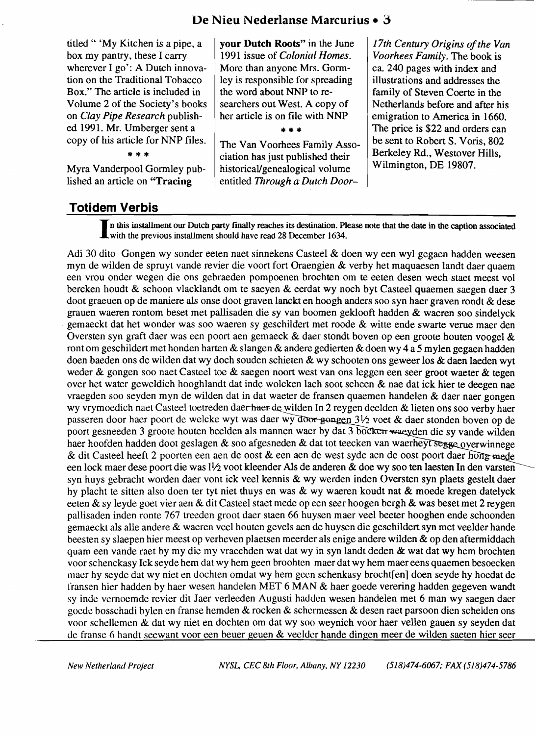titled" 'My Kitchen is a pipe, a box my pantry, these I carry wherever I go': A Dutch innovation on the Traditional Tobacco Box." The article is included in Volume 2 of the Society's books on *Clay Pipe Research* published 1991. Mr. Umberger sent a copy of his article for NNP files.

\*\*\*

Myra Vanderpool Gormley published an article on "Tracing

your Dutch Roots" in the June 1991 issue of *Colonial Homes.*  More than anyone Mrs. Gormley is responsible for spreading the word about NNP to researchers out West. A copy of her article is on file with NNP

### \*\*\*

The Van Voorhees Family Association has just published their historical/genealogical volume entitled *Through a'Dutch Door-*

17th Century Origins of the Van *Voorhees Family.* The book is ca. 240 pages with index and illustrations and addresses the family of Steven Coerte in the Netherlands before and after his emigration to America in 1660. The price is \$22 and orders can be sent to Robert S. Voris, 802 Berkeley Rd., Westover Hills, Wilmington, DE 19807.

### **Totidem Verbis**

In this installment our Dutch party finally reaches its destination. Please note that the date in the caption associated with the previous installment should have read 28 December 1634.

Adi 30 dito Gongen wy sonder eeten naet sinnekens Casteel & doen wy een wyl gegaen hadden weesen myn de wilden de spruyt vande revier die voort fort Oraengien & verby het maquaesen landt daer quaem een vrou onder wegen die ons gebraeden pompoenen brochten om te eeten desen wech staet meest vol bercken houdt & schoon vlacklandt om te saeyen & eerdat wy noch byt Casteel quaemen saegen daer 3 doot graeuen op de maniere als onse doot graven lanckt en hoogh anders soo syn haer graven rondt & dese grauen waeren rontom beset met pallisaden die sy van boomen geklooft hadden & waeren soo sindelyck gemaeckt dat het wonder was soo waeren sy geschildert met roode & witte ende swarte verue maer den Oversten syn graft daer was een poort aen gemaeck & daer stondt boven op een groote houten voogel & ront om geschildert met honden harten & slangen & andere gedierten & doen wy 4 a 5 mylen gegaen hadden doen baeden ons de wilden dat wy doch souden schieten & wy schooten ons geweer los & daen laeden wyt weder & gongen soo naet Casteel toe & saegen noort west van ons leggen een seer groot waeter & tegen over het water geweldich hooghlandt dat inde wolcken lach soot scheen & nae dat ick hier te deegen nae vraegden soo seyden myn de wilden dat in dat waeter de fransen quaemen handelen & daer naer gongen wy vrymoedich naet Casteel toetreden daer haer de wilden In 2 reygen deelden & lieten ons soo verby haer passeren door haer poort de welcke wyt was daer wy door gongen  $3\frac{1}{2}$  voet & daer stonden boven op de poort gesneeden 3 groote houten beelden als mannen waer by dat 3 bocken waeyden die sy vande wilden haer hoofden hadden doot geslagen  $\&$  soo afgesneden  $\&$  dat tot teecken van waerheyf segge overwinnege & dit Casteel heeft 2 poorten een aen de oost & een aen de west syde aen de oost poort daer hoffe mede een lock maer dese poort die was 11/2 voot kleender Als de anderen & doe wy soo ten laesten In den varsten syn huys gebracht worden daer vont ick veel kennis & wy werden inden Oversten syn plaets gestelt daer hy placht te sitten also doen ter tyt niet thuys en was & wy waeren koudt nat & moede kregen datelyck eeten & sy leyde goet vier aen & dit Casteel staet mede op een seer hoogen bergh & was beset met 2 reygen pallisaden inden ronte 767 treeden groot daer staen 66 huysen maer veel beeter hooghen ende schoonden gemaeckt als aIle andere & waeren veel houten gevels aen de huysen die geschildert syn met veelder hande beesten sy slaepen hier meest op verheven plaetsen meerder als enige andere wilden & op den aftermiddach quam een vande raet by my die my vraechden wat dat wy in syn landt deden & wat dat wy hem brochten voor schenckasy Ick seyde hem dat wy hem geen broohten maer dat wy hem maer eens quaemen besoecken macr hy seyde dat wy niet en dochten omdat wy hem gecn schenkasy brocht[en] doen seyde hy hoedat de Iransen hier hadden by haer wesen handelen MET 6 MAN & haer goede verering hadden gegeven wandt sy inde vernoemde revier dit Jaer verleeden Augusti hadden wesen handelen met 6 man wy saegen daer gocde bosschadi bylen en franse hemden & rocken & schcrmessen & desen raet parsoon dien schelden ons voor schellcmcn & dat wy niet en dochten om dat wy soo weynich voor haer vellen gauen sy seyden dat de franse 6 handt seewant voor een beuer geuen & veeldcr hande dingen meer de wilden saeten hier seer